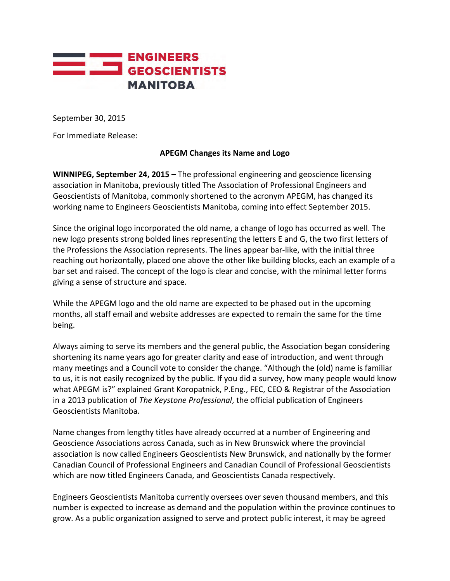

September 30, 2015

For Immediate Release:

## **APEGM Changes its Name and Logo**

**WINNIPEG, September 24, 2015** – The professional engineering and geoscience licensing association in Manitoba, previously titled The Association of Professional Engineers and Geoscientists of Manitoba, commonly shortened to the acronym APEGM, has changed its working name to Engineers Geoscientists Manitoba, coming into effect September 2015.

Since the original logo incorporated the old name, a change of logo has occurred as well. The new logo presents strong bolded lines representing the letters E and G, the two first letters of the Professions the Association represents. The lines appear bar-like, with the initial three reaching out horizontally, placed one above the other like building blocks, each an example of a bar set and raised. The concept of the logo is clear and concise, with the minimal letter forms giving a sense of structure and space.

While the APEGM logo and the old name are expected to be phased out in the upcoming months, all staff email and website addresses are expected to remain the same for the time being.

Always aiming to serve its members and the general public, the Association began considering shortening its name years ago for greater clarity and ease of introduction, and went through many meetings and a Council vote to consider the change. "Although the (old) name is familiar to us, it is not easily recognized by the public. If you did a survey, how many people would know what APEGM is?" explained Grant Koropatnick, P.Eng., FEC, CEO & Registrar of the Association in a 2013 publication of *The Keystone Professional*, the official publication of Engineers Geoscientists Manitoba.

Name changes from lengthy titles have already occurred at a number of Engineering and Geoscience Associations across Canada, such as in New Brunswick where the provincial association is now called Engineers Geoscientists New Brunswick, and nationally by the former Canadian Council of Professional Engineers and Canadian Council of Professional Geoscientists which are now titled Engineers Canada, and Geoscientists Canada respectively.

Engineers Geoscientists Manitoba currently oversees over seven thousand members, and this number is expected to increase as demand and the population within the province continues to grow. As a public organization assigned to serve and protect public interest, it may be agreed